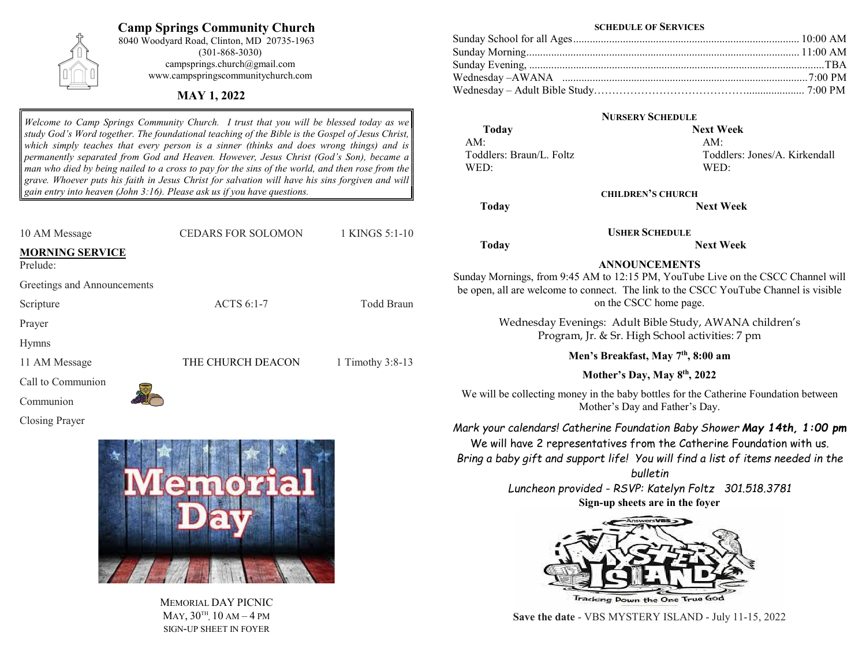# Camp Springs Community Church

8040 Woodyard Road, Clinton, MD 20735-1963 (301-868-3030) campsprings.church@gmail.com www.campspringscommunitychurch.com

## MAY 1, 2022

Welcome to Camp Springs Community Church. I trust that you will be blessed today as we study God's Word together. The foundational teaching of the Bible is the Gospel of Jesus Christ, which simply teaches that every person is a sinner (thinks and does wrong things) and is permanently separated from God and Heaven. However, Jesus Christ (God's Son), became a man who died by being nailed to a cross to pay for the sins of the world, and then rose from the grave. Whoever puts his faith in Jesus Christ for salvation will have his sins forgiven and will gain entry into heaven (John 3:16). Please ask us if you have questions.

| 10 AM Message                      | <b>CEDARS FOR SOLOMON</b> | 1 KINGS 5:1-10   |
|------------------------------------|---------------------------|------------------|
| <b>MORNING SERVICE</b><br>Prelude: |                           |                  |
| Greetings and Announcements        |                           |                  |
| Scripture                          | ACTS 6:1-7                | Todd Braun       |
| Prayer                             |                           |                  |
| <b>Hymns</b>                       |                           |                  |
| 11 AM Message                      | THE CHURCH DEACON         | 1 Timothy 3:8-13 |
| Call to Communion                  |                           |                  |
| Communion                          |                           |                  |
| Closing Prayer                     |                           |                  |



MEMORIAL DAY PICNIC  $\text{May, }30^{\text{th}}, 10 \text{ AM} - 4 \text{ PM}$ SIGN-UP SHEET IN FOYER

#### SCHEDULE OF SERVICES

### NURSERY SCHEDULE

 Today Next Week AM: AM: WED: WED:

Toddlers: Braun/L. Foltz Toddlers: Jones/A. Kirkendall

Today Next Week

USHER SCHEDULE Today Next Week

# ANNOUNCEMENTS

Sunday Mornings, from 9:45 AM to 12:15 PM, YouTube Live on the CSCC Channel will be open, all are welcome to connect. The link to the CSCC YouTube Channel is visible on the CSCC home page.

CHILDREN'S CHURCH

Wednesday Evenings: Adult Bible Study, AWANA children's Program, Jr. & Sr. High School activities: 7 pm

Men's Breakfast, May 7<sup>th</sup>, 8:00 am

Mother's Day, May 8<sup>th</sup>, 2022

We will be collecting money in the baby bottles for the Catherine Foundation between Mother's Day and Father's Day.

Mark your calendars! Catherine Foundation Baby Shower May 14th, 1:00 pm We will have 2 representatives from the Catherine Foundation with us. Bring a baby gift and support life! You will find a list of items needed in the

> bulletin Luncheon provided - RSVP: Katelyn Foltz 301.518.3781 Sign-up sheets are in the foyer



Save the date - VBS MYSTERY ISLAND - July 11-15, 2022